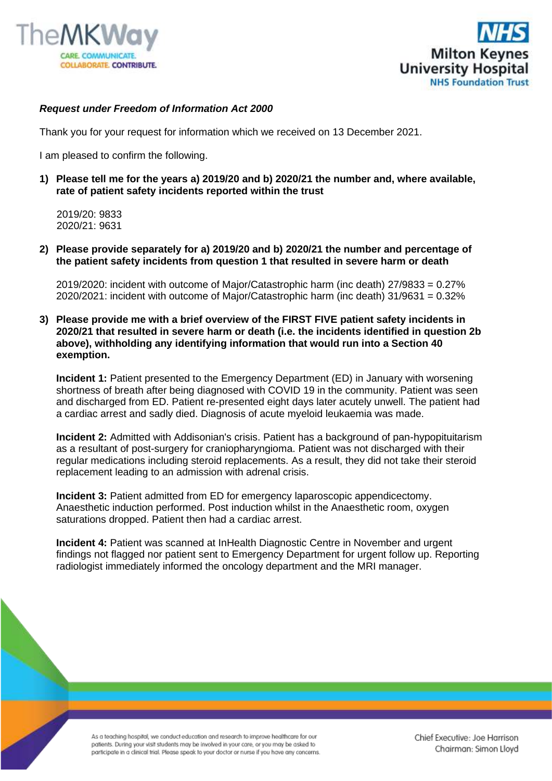



## *Request under Freedom of Information Act 2000*

Thank you for your request for information which we received on 13 December 2021.

I am pleased to confirm the following.

**1) Please tell me for the years a) 2019/20 and b) 2020/21 the number and, where available, rate of patient safety incidents reported within the trust**

 2019/20: 9833 2020/21: 9631

**2) Please provide separately for a) 2019/20 and b) 2020/21 the number and percentage of the patient safety incidents from question 1 that resulted in severe harm or death**

2019/2020: incident with outcome of Major/Catastrophic harm (inc death) 27/9833 = 0.27% 2020/2021: incident with outcome of Major/Catastrophic harm (inc death) 31/9631 = 0.32%

**3) Please provide me with a brief overview of the FIRST FIVE patient safety incidents in 2020/21 that resulted in severe harm or death (i.e. the incidents identified in question 2b above), withholding any identifying information that would run into a Section 40 exemption.**

**Incident 1:** Patient presented to the Emergency Department (ED) in January with worsening shortness of breath after being diagnosed with COVID 19 in the community. Patient was seen and discharged from ED. Patient re-presented eight days later acutely unwell. The patient had a cardiac arrest and sadly died. Diagnosis of acute myeloid leukaemia was made.

**Incident 2:** Admitted with Addisonian's crisis. Patient has a background of pan-hypopituitarism as a resultant of post-surgery for craniopharyngioma. Patient was not discharged with their regular medications including steroid replacements. As a result, they did not take their steroid replacement leading to an admission with adrenal crisis.

**Incident 3:** Patient admitted from ED for emergency laparoscopic appendicectomy. Anaesthetic induction performed. Post induction whilst in the Anaesthetic room, oxygen saturations dropped. Patient then had a cardiac arrest.

**Incident 4:** Patient was scanned at InHealth Diagnostic Centre in November and urgent findings not flagged nor patient sent to Emergency Department for urgent follow up. Reporting radiologist immediately informed the oncology department and the MRI manager.

As a teaching hospital, we conduct education and research to improve healthcare for our patients. During your visit students may be involved in your care, or you may be asked to participate in a clinical trial. Please speak to your doctor or nurse if you have any concerns.